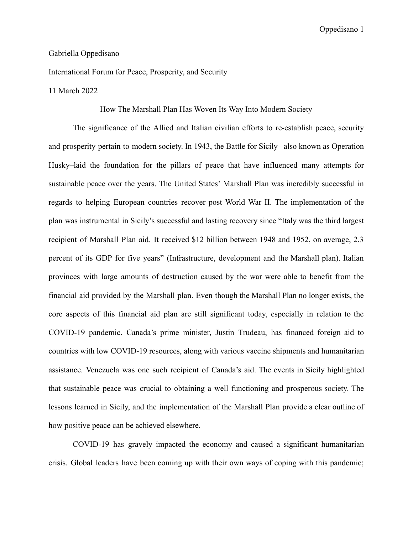## Gabriella Oppedisano

International Forum for Peace, Prosperity, and Security

## 11 March 2022

## How The Marshall Plan Has Woven Its Way Into Modern Society

The significance of the Allied and Italian civilian efforts to re-establish peace, security and prosperity pertain to modern society. In 1943, the Battle for Sicily– also known as Operation Husky–laid the foundation for the pillars of peace that have influenced many attempts for sustainable peace over the years. The United States' Marshall Plan was incredibly successful in regards to helping European countries recover post World War II. The implementation of the plan was instrumental in Sicily's successful and lasting recovery since "Italy was the third largest recipient of Marshall Plan aid. It received \$12 billion between 1948 and 1952, on average, 2.3 percent of its GDP for five years" (Infrastructure, development and the Marshall plan). Italian provinces with large amounts of destruction caused by the war were able to benefit from the financial aid provided by the Marshall plan. Even though the Marshall Plan no longer exists, the core aspects of this financial aid plan are still significant today, especially in relation to the COVID-19 pandemic. Canada's prime minister, Justin Trudeau, has financed foreign aid to countries with low COVID-19 resources, along with various vaccine shipments and humanitarian assistance. Venezuela was one such recipient of Canada's aid. The events in Sicily highlighted that sustainable peace was crucial to obtaining a well functioning and prosperous society. The lessons learned in Sicily, and the implementation of the Marshall Plan provide a clear outline of how positive peace can be achieved elsewhere.

COVID-19 has gravely impacted the economy and caused a significant humanitarian crisis. Global leaders have been coming up with their own ways of coping with this pandemic;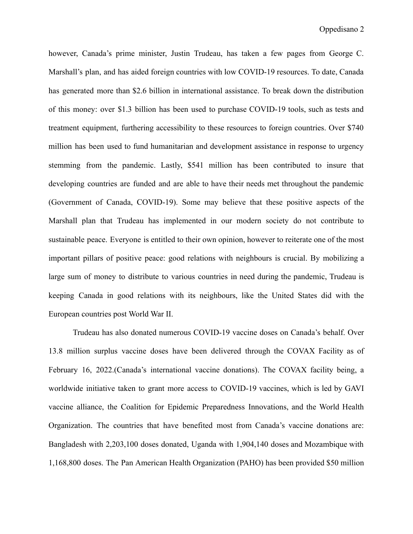however, Canada's prime minister, Justin Trudeau, has taken a few pages from George C. Marshall's plan, and has aided foreign countries with low COVID-19 resources. To date, Canada has generated more than \$2.6 billion in international assistance. To break down the distribution of this money: over \$1.3 billion has been used to purchase COVID-19 tools, such as tests and treatment equipment, furthering accessibility to these resources to foreign countries. Over \$740 million has been used to fund humanitarian and development assistance in response to urgency stemming from the pandemic. Lastly, \$541 million has been contributed to insure that developing countries are funded and are able to have their needs met throughout the pandemic (Government of Canada, COVID-19). Some may believe that these positive aspects of the Marshall plan that Trudeau has implemented in our modern society do not contribute to sustainable peace. Everyone is entitled to their own opinion, however to reiterate one of the most important pillars of positive peace: good relations with neighbours is crucial. By mobilizing a large sum of money to distribute to various countries in need during the pandemic, Trudeau is keeping Canada in good relations with its neighbours, like the United States did with the European countries post World War II.

Trudeau has also donated numerous COVID-19 vaccine doses on Canada's behalf. Over 13.8 million surplus vaccine doses have been delivered through the COVAX Facility as of February 16, 2022.(Canada's international vaccine donations). The COVAX facility being, a worldwide initiative taken to grant more access to COVID-19 vaccines, which is led by GAVI vaccine alliance, the Coalition for Epidemic Preparedness Innovations, and the World Health Organization. The countries that have benefited most from Canada's vaccine donations are: Bangladesh with 2,203,100 doses donated, Uganda with 1,904,140 doses and Mozambique with 1,168,800 doses. The Pan American Health Organization (PAHO) has been provided \$50 million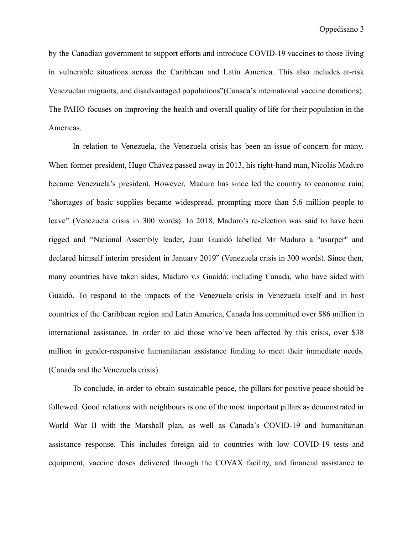by the Canadian government to support efforts and introduce COVID-19 vaccines to those living in vulnerable situations across the Caribbean and Latin America. This also includes at-risk Venezuelan migrants, and disadvantaged populations"(Canada's international vaccine donations). The PAHO focuses on improving the health and overall quality of life for their population in the Americas.

In relation to Venezuela, the Venezuela crisis has been an issue of concern for many. When former president, Hugo Chávez passed away in 2013, his right-hand man, Nicolás Maduro became Venezuela's president. However, Maduro has since led the country to economic ruin; "shortages of basic supplies became widespread, prompting more than 5.6 million people to leave" (Venezuela crisis in 300 words). In 2018, Maduro's re-election was said to have been rigged and "National Assembly leader, Juan Guaidó labelled Mr Maduro a "usurper" and declared himself interim president in January 2019" (Venezuela crisis in 300 words). Since then, many countries have taken sides, Maduro v.s Guaidó; including Canada, who have sided with Guaidó. To respond to the impacts of the Venezuela crisis in Venezuela itself and in host countries of the Caribbean region and Latin America, Canada has committed over \$86 million in international assistance. In order to aid those who've been affected by this crisis, over \$38 million in gender-responsive humanitarian assistance funding to meet their immediate needs. (Canada and the Venezuela crisis).

To conclude, in order to obtain sustainable peace, the pillars for positive peace should be followed. Good relations with neighbours is one of the most important pillars as demonstrated in World War II with the Marshall plan, as well as Canada's COVID-19 and humanitarian assistance response. This includes foreign aid to countries with low COVID-19 tests and equipment, vaccine doses delivered through the COVAX facility, and financial assistance to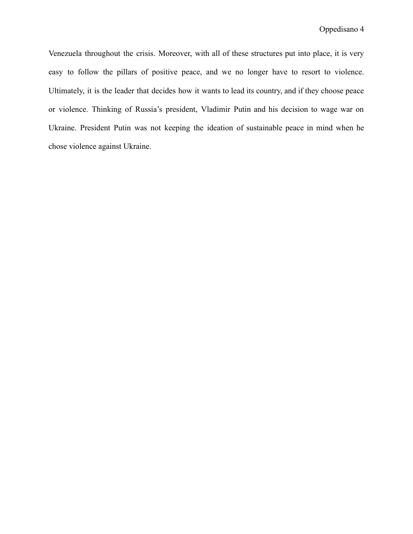Venezuela throughout the crisis. Moreover, with all of these structures put into place, it is very easy to follow the pillars of positive peace, and we no longer have to resort to violence. Ultimately, it is the leader that decides how it wants to lead its country, and if they choose peace or violence. Thinking of Russia's president, Vladimir Putin and his decision to wage war on Ukraine. President Putin was not keeping the ideation of sustainable peace in mind when he chose violence against Ukraine.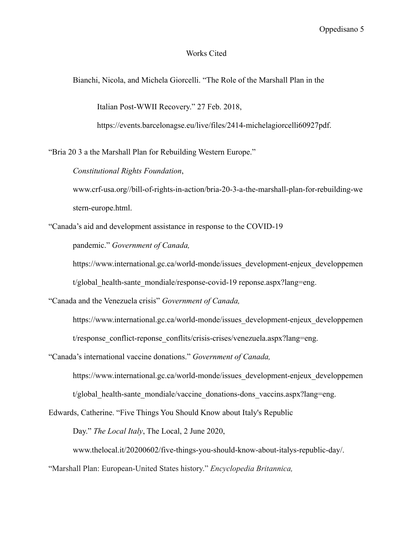## Works Cited

Bianchi, Nicola, and Michela Giorcelli. "The Role of the Marshall Plan in the

Italian Post-WWII Recovery." 27 Feb. 2018,

https://events.barcelonagse.eu/live/files/2414-michelagiorcelli60927pdf.

"Bria 20 3 a the Marshall Plan for Rebuilding Western Europe."

*Constitutional Rights Foundation*,

www.crf-usa.org//bill-of-rights-in-action/bria-20-3-a-the-marshall-plan-for-rebuilding-we stern-europe.html.

"Canada's aid and development assistance in response to the COVID-19

pandemic." *Government of Canada,*

https://www.international.gc.ca/world-monde/issues\_development-enjeux\_developpemen t/global health-sante mondiale/response-covid-19 reponse.aspx?lang=eng.

"Canada and the Venezuela crisis" *Government of Canada,*

https://www.international.gc.ca/world-monde/issues\_development-enjeux\_developpemen t/response\_conflict-reponse\_conflits/crisis-crises/venezuela.aspx?lang=eng.

"Canada's international vaccine donations." *Government of Canada,*

https://www.international.gc.ca/world-monde/issues\_development-enjeux\_developpemen t/global health-sante mondiale/vaccine donations-dons vaccins.aspx?lang=eng.

Edwards, Catherine. "Five Things You Should Know about Italy's Republic

Day." *The Local Italy*, The Local, 2 June 2020,

www.thelocal.it/20200602/five-things-you-should-know-about-italys-republic-day/.

"Marshall Plan: European-United States history." *Encyclopedia Britannica,*